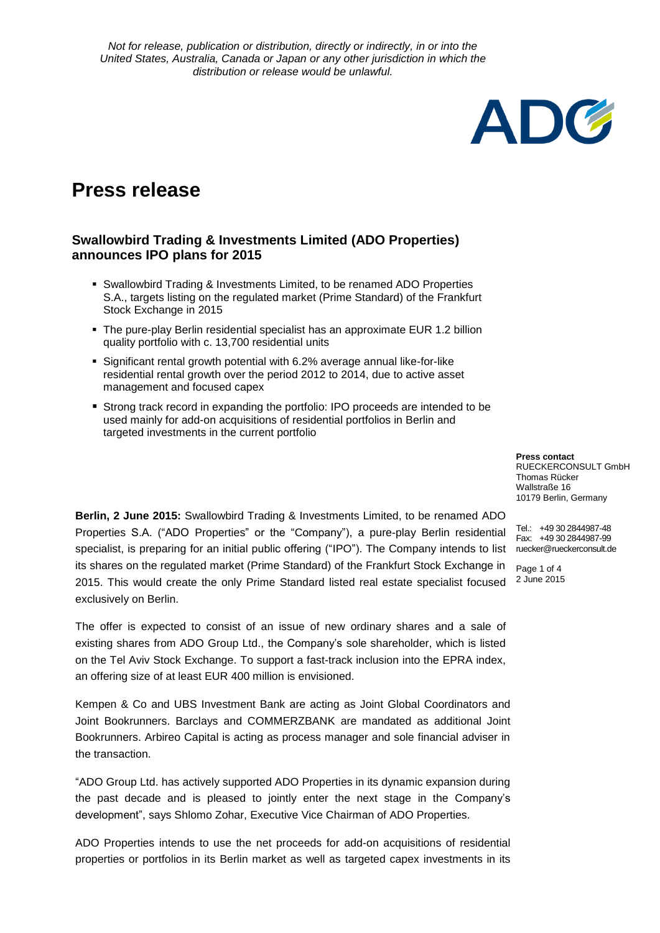

# **Press release**

## **Swallowbird Trading & Investments Limited (ADO Properties) announces IPO plans for 2015**

- Swallowbird Trading & Investments Limited, to be renamed ADO Properties S.A., targets listing on the regulated market (Prime Standard) of the Frankfurt Stock Exchange in 2015
- The pure-play Berlin residential specialist has an approximate EUR 1.2 billion quality portfolio with c. 13,700 residential units
- Significant rental growth potential with 6.2% average annual like-for-like residential rental growth over the period 2012 to 2014, due to active asset management and focused capex
- Strong track record in expanding the portfolio: IPO proceeds are intended to be used mainly for add-on acquisitions of residential portfolios in Berlin and targeted investments in the current portfolio

**Press contact** RUECKERCONSULT GmbH Thomas Rücker Wallstraße 16 10179 Berlin, Germany

Tel.: +49 30 2844987-48

Page 1 of 4 2 June 2015

Properties S.A. ("ADO Properties" or the "Company"), a pure-play Berlin residential Tel. +49302644967-46<br>Fax: +49302844987-99 specialist, is preparing for an initial public offering ("IPO"). The Company intends to list ruecker@rueckerconsult.de **Berlin, 2 June 2015:** Swallowbird Trading & Investments Limited, to be renamed ADO its shares on the regulated market (Prime Standard) of the Frankfurt Stock Exchange in 2015. This would create the only Prime Standard listed real estate specialist focused exclusively on Berlin.

The offer is expected to consist of an issue of new ordinary shares and a sale of existing shares from ADO Group Ltd., the Company's sole shareholder, which is listed on the Tel Aviv Stock Exchange. To support a fast-track inclusion into the EPRA index, an offering size of at least EUR 400 million is envisioned.

Kempen & Co and UBS Investment Bank are acting as Joint Global Coordinators and Joint Bookrunners. Barclays and COMMERZBANK are mandated as additional Joint Bookrunners. Arbireo Capital is acting as process manager and sole financial adviser in the transaction.

"ADO Group Ltd. has actively supported ADO Properties in its dynamic expansion during the past decade and is pleased to jointly enter the next stage in the Company's development", says Shlomo Zohar, Executive Vice Chairman of ADO Properties.

ADO Properties intends to use the net proceeds for add-on acquisitions of residential properties or portfolios in its Berlin market as well as targeted capex investments in its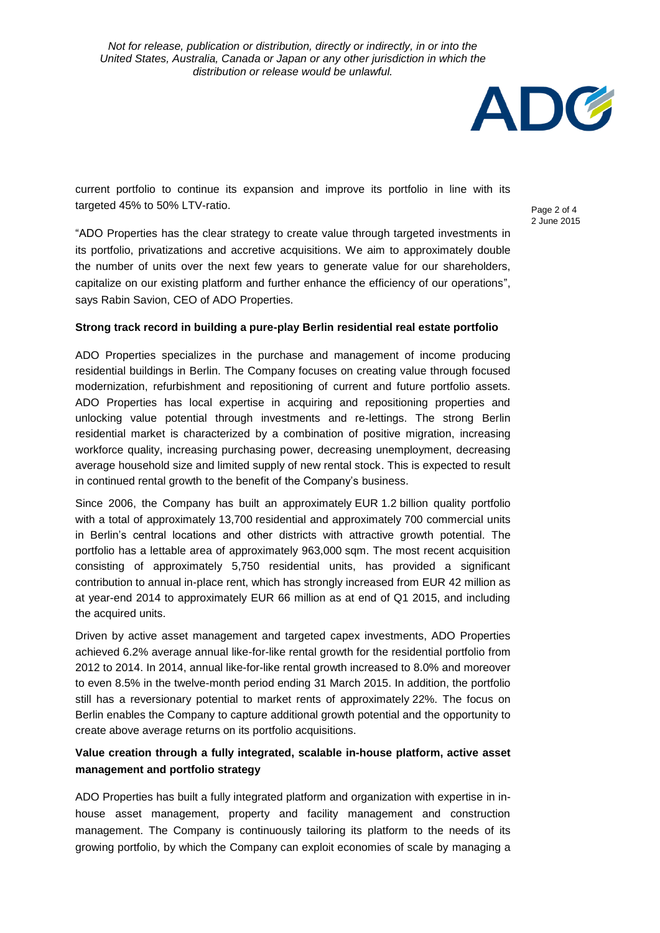

current portfolio to continue its expansion and improve its portfolio in line with its targeted 45% to 50% LTV-ratio.

Page 2 of 4 2 June 2015

"ADO Properties has the clear strategy to create value through targeted investments in its portfolio, privatizations and accretive acquisitions. We aim to approximately double the number of units over the next few years to generate value for our shareholders, capitalize on our existing platform and further enhance the efficiency of our operations", says Rabin Savion, CEO of ADO Properties.

## **Strong track record in building a pure-play Berlin residential real estate portfolio**

ADO Properties specializes in the purchase and management of income producing residential buildings in Berlin. The Company focuses on creating value through focused modernization, refurbishment and repositioning of current and future portfolio assets. ADO Properties has local expertise in acquiring and repositioning properties and unlocking value potential through investments and re-lettings. The strong Berlin residential market is characterized by a combination of positive migration, increasing workforce quality, increasing purchasing power, decreasing unemployment, decreasing average household size and limited supply of new rental stock. This is expected to result in continued rental growth to the benefit of the Company's business.

Since 2006, the Company has built an approximately EUR 1.2 billion quality portfolio with a total of approximately 13,700 residential and approximately 700 commercial units in Berlin's central locations and other districts with attractive growth potential. The portfolio has a lettable area of approximately 963,000 sqm. The most recent acquisition consisting of approximately 5,750 residential units, has provided a significant contribution to annual in-place rent, which has strongly increased from EUR 42 million as at year-end 2014 to approximately EUR 66 million as at end of Q1 2015, and including the acquired units.

Driven by active asset management and targeted capex investments, ADO Properties achieved 6.2% average annual like-for-like rental growth for the residential portfolio from 2012 to 2014. In 2014, annual like-for-like rental growth increased to 8.0% and moreover to even 8.5% in the twelve-month period ending 31 March 2015. In addition, the portfolio still has a reversionary potential to market rents of approximately 22%. The focus on Berlin enables the Company to capture additional growth potential and the opportunity to create above average returns on its portfolio acquisitions.

## **Value creation through a fully integrated, scalable in-house platform, active asset management and portfolio strategy**

ADO Properties has built a fully integrated platform and organization with expertise in inhouse asset management, property and facility management and construction management. The Company is continuously tailoring its platform to the needs of its growing portfolio, by which the Company can exploit economies of scale by managing a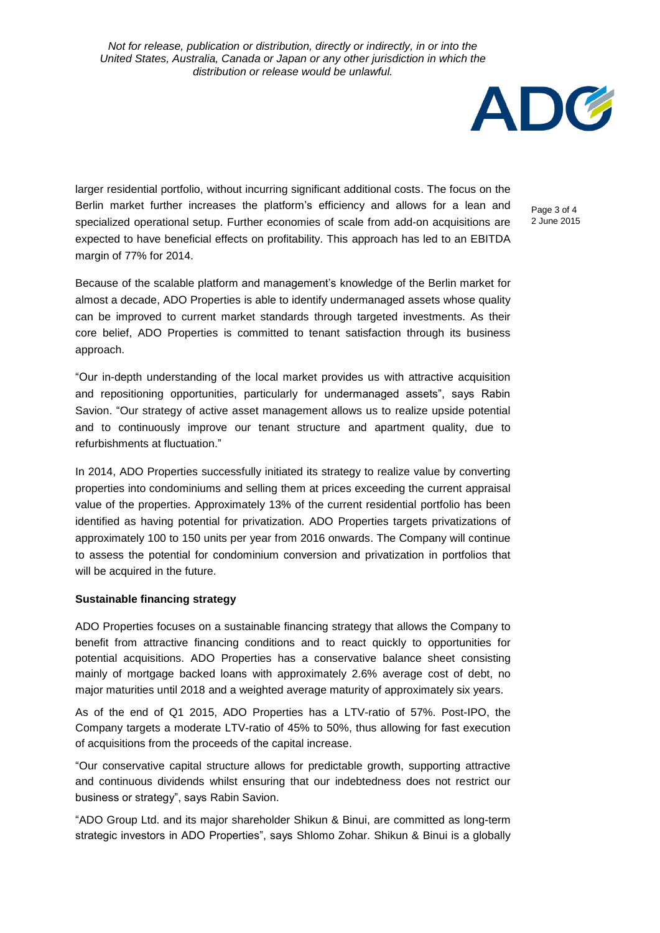

larger residential portfolio, without incurring significant additional costs. The focus on the Berlin market further increases the platform's efficiency and allows for a lean and specialized operational setup. Further economies of scale from add-on acquisitions are expected to have beneficial effects on profitability. This approach has led to an EBITDA margin of 77% for 2014.

Page 3 of 4 2 June 2015

Because of the scalable platform and management's knowledge of the Berlin market for almost a decade, ADO Properties is able to identify undermanaged assets whose quality can be improved to current market standards through targeted investments. As their core belief, ADO Properties is committed to tenant satisfaction through its business approach.

"Our in-depth understanding of the local market provides us with attractive acquisition and repositioning opportunities, particularly for undermanaged assets", says Rabin Savion. "Our strategy of active asset management allows us to realize upside potential and to continuously improve our tenant structure and apartment quality, due to refurbishments at fluctuation."

In 2014, ADO Properties successfully initiated its strategy to realize value by converting properties into condominiums and selling them at prices exceeding the current appraisal value of the properties. Approximately 13% of the current residential portfolio has been identified as having potential for privatization. ADO Properties targets privatizations of approximately 100 to 150 units per year from 2016 onwards. The Company will continue to assess the potential for condominium conversion and privatization in portfolios that will be acquired in the future.

#### **Sustainable financing strategy**

ADO Properties focuses on a sustainable financing strategy that allows the Company to benefit from attractive financing conditions and to react quickly to opportunities for potential acquisitions. ADO Properties has a conservative balance sheet consisting mainly of mortgage backed loans with approximately 2.6% average cost of debt, no major maturities until 2018 and a weighted average maturity of approximately six years.

As of the end of Q1 2015, ADO Properties has a LTV-ratio of 57%. Post-IPO, the Company targets a moderate LTV-ratio of 45% to 50%, thus allowing for fast execution of acquisitions from the proceeds of the capital increase.

"Our conservative capital structure allows for predictable growth, supporting attractive and continuous dividends whilst ensuring that our indebtedness does not restrict our business or strategy", says Rabin Savion.

"ADO Group Ltd. and its major shareholder Shikun & Binui, are committed as long-term strategic investors in ADO Properties", says Shlomo Zohar. Shikun & Binui is a globally